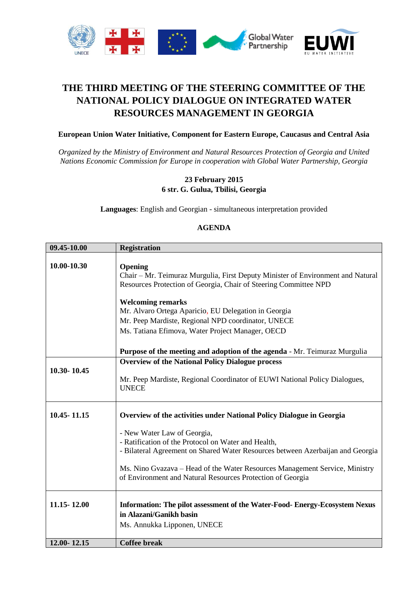

## **THE THIRD MEETING OF THE STEERING COMMITTEE OF THE NATIONAL POLICY DIALOGUE ON INTEGRATED WATER RESOURCES MANAGEMENT IN GEORGIA**

## **European Union Water Initiative, Component for Eastern Europe, Caucasus and Central Asia**

*Organized by the Ministry of Environment and Natural Resources Protection of Georgia and United Nations Economic Commission for Europe in cooperation with Global Water Partnership, Georgia*

## **23 February 2015 6 str. G. Gulua, Tbilisi, Georgia**

**Languages**: English and Georgian - simultaneous interpretation provided

## **AGENDA**

| 09.45-10.00     | <b>Registration</b>                                                                                                                                                                                                                                                                                               |
|-----------------|-------------------------------------------------------------------------------------------------------------------------------------------------------------------------------------------------------------------------------------------------------------------------------------------------------------------|
| 10.00-10.30     | Opening<br>Chair – Mr. Teimuraz Murgulia, First Deputy Minister of Environment and Natural<br>Resources Protection of Georgia, Chair of Steering Committee NPD<br><b>Welcoming remarks</b><br>Mr. Alvaro Ortega Aparicio, EU Delegation in Georgia                                                                |
|                 | Mr. Peep Mardiste, Regional NPD coordinator, UNECE                                                                                                                                                                                                                                                                |
|                 | Ms. Tatiana Efimova, Water Project Manager, OECD                                                                                                                                                                                                                                                                  |
|                 | <b>Purpose of the meeting and adoption of the agenda - Mr. Teimuraz Murgulia</b>                                                                                                                                                                                                                                  |
| 10.30-10.45     | <b>Overview of the National Policy Dialogue process</b><br>Mr. Peep Mardiste, Regional Coordinator of EUWI National Policy Dialogues,<br><b>UNECE</b>                                                                                                                                                             |
| 10.45 - 11.15   | Overview of the activities under National Policy Dialogue in Georgia                                                                                                                                                                                                                                              |
|                 | - New Water Law of Georgia,<br>- Ratification of the Protocol on Water and Health,<br>- Bilateral Agreement on Shared Water Resources between Azerbaijan and Georgia<br>Ms. Nino Gvazava – Head of the Water Resources Management Service, Ministry<br>of Environment and Natural Resources Protection of Georgia |
| 11.15 - 12.00   | Information: The pilot assessment of the Water-Food-Energy-Ecosystem Nexus<br>in Alazani/Ganikh basin<br>Ms. Annukka Lipponen, UNECE                                                                                                                                                                              |
| $12.00 - 12.15$ | <b>Coffee break</b>                                                                                                                                                                                                                                                                                               |